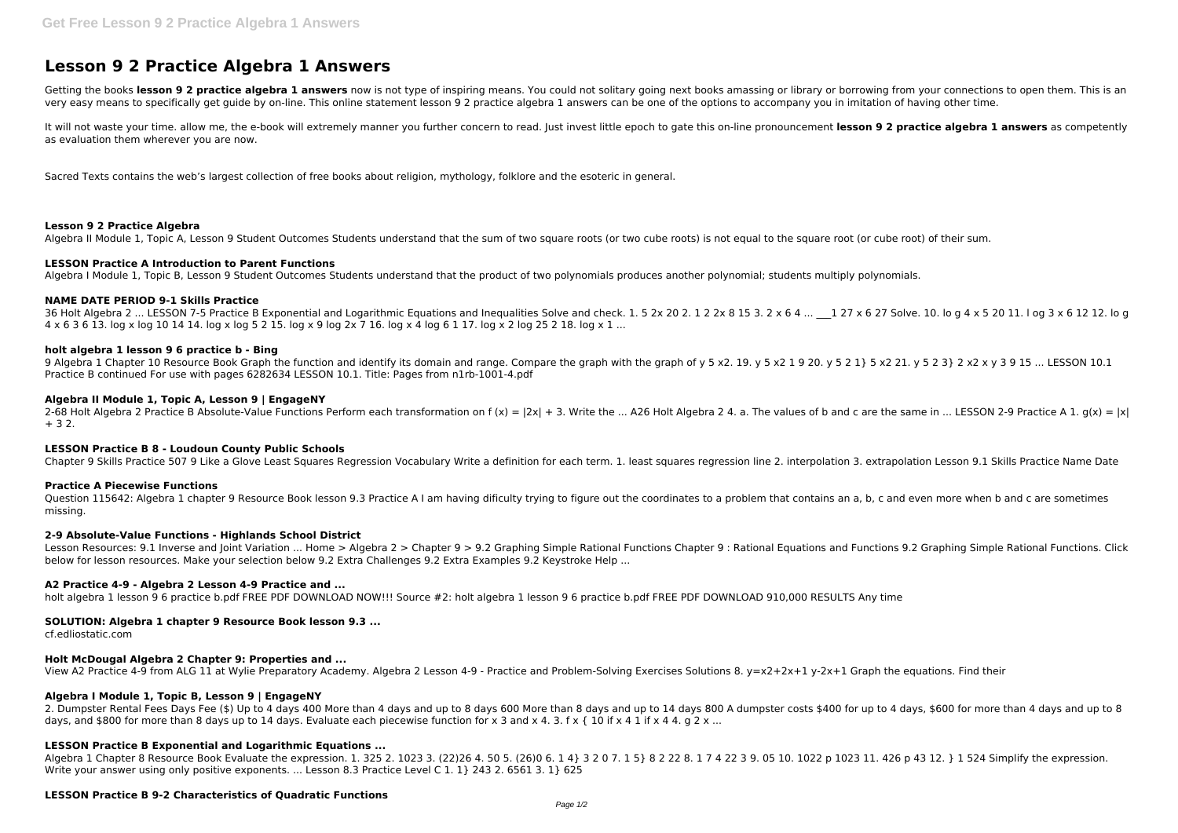# **Lesson 9 2 Practice Algebra 1 Answers**

Getting the books lesson 9 2 practice algebra 1 answers now is not type of inspiring means. You could not solitary going next books amassing or library or borrowing from your connections to open them. This is an very easy means to specifically get guide by on-line. This online statement lesson 9 2 practice algebra 1 answers can be one of the options to accompany you in imitation of having other time.

It will not waste your time. allow me, the e-book will extremely manner you further concern to read. Just invest little epoch to gate this on-line pronouncement lesson 9 2 practice algebra 1 answers as competently as evaluation them wherever you are now.

Sacred Texts contains the web's largest collection of free books about religion, mythology, folklore and the esoteric in general.

36 Holt Algebra 2 ... LESSON 7-5 Practice B Exponential and Logarithmic Equations and Inequalities Solve and check. 1. 5 2x 20 2. 1 2 2x 8 15 3. 2 x 6 4 ... 1 27 x 6 27 Solve. 10. lo g 4 x 5 20 11. l og 3 x 6 12 12. lo g 4 x 6 3 6 13. log x log 10 14 14. log x log 5 2 15. log x 9 log 2x 7 16. log x 4 log 6 1 17. log x 2 log 25 2 18. log x 1 ...

#### **Lesson 9 2 Practice Algebra**

Algebra II Module 1, Topic A, Lesson 9 Student Outcomes Students understand that the sum of two square roots (or two cube roots) is not equal to the square root (or cube root) of their sum.

9 Algebra 1 Chapter 10 Resource Book Graph the function and identify its domain and range. Compare the graph with the graph of y 5 x2. 19. y 5 x2 1 9 20. y 5 2 1} 5 x2 21. y 5 2 3} 2 x2 x y 3 9 15 ... LESSON 10.1 Practice B continued For use with pages 6282634 LESSON 10.1. Title: Pages from n1rb-1001-4.pdf

#### **LESSON Practice A Introduction to Parent Functions**

Algebra I Module 1, Topic B, Lesson 9 Student Outcomes Students understand that the product of two polynomials produces another polynomial; students multiply polynomials.

#### **NAME DATE PERIOD 9-1 Skills Practice**

Question 115642: Algebra 1 chapter 9 Resource Book lesson 9.3 Practice A I am having dificulty trying to figure out the coordinates to a problem that contains an a, b, c and even more when b and c are sometimes missing.

Lesson Resources: 9.1 Inverse and Joint Variation ... Home > Algebra 2 > Chapter 9 > 9.2 Graphing Simple Rational Functions Chapter 9: Rational Equations and Functions 9.2 Graphing Simple Rational Functions. Click below for lesson resources. Make your selection below 9.2 Extra Challenges 9.2 Extra Examples 9.2 Keystroke Help ...

#### **holt algebra 1 lesson 9 6 practice b - Bing**

#### **Algebra II Module 1, Topic A, Lesson 9 | EngageNY**

2-68 Holt Algebra 2 Practice B Absolute-Value Functions Perform each transformation on f (x) =  $|2x| + 3$ . Write the ... A26 Holt Algebra 2 4. a. The values of b and c are the same in ... LESSON 2-9 Practice A 1. g(x) = |x  $+ 32.$ 

Algebra 1 Chapter 8 Resource Book Evaluate the expression. 1. 325 2. 1023 3. (22)26 4. 50 5. (26)0 6. 1 4} 3 2 0 7. 1 5} 8 2 22 8. 1 7 4 22 3 9. 05 10. 1022 p 1023 11. 426 p 43 12. } 1 524 Simplify the expression. Write your answer using only positive exponents. ... Lesson 8.3 Practice Level C 1. 1} 243 2. 6561 3. 1} 625

# **LESSON Practice B 8 - Loudoun County Public Schools**

Chapter 9 Skills Practice 507 9 Like a Glove Least Squares Regression Vocabulary Write a definition for each term. 1. least squares regression line 2. interpolation 3. extrapolation Lesson 9.1 Skills Practice Name Date

#### **Practice A Piecewise Functions**

# **2-9 Absolute-Value Functions - Highlands School District**

#### **A2 Practice 4-9 - Algebra 2 Lesson 4-9 Practice and ...**

holt algebra 1 lesson 9 6 practice b.pdf FREE PDF DOWNLOAD NOW!!! Source #2: holt algebra 1 lesson 9 6 practice b.pdf FREE PDF DOWNLOAD 910,000 RESULTS Any time

# **SOLUTION: Algebra 1 chapter 9 Resource Book lesson 9.3 ...**

cf.edliostatic.com

# **Holt McDougal Algebra 2 Chapter 9: Properties and ...**

View A2 Practice 4-9 from ALG 11 at Wylie Preparatory Academy. Algebra 2 Lesson 4-9 - Practice and Problem-Solving Exercises Solutions 8. y=x2+2x+1 y-2x+1 Graph the equations. Find their

# **Algebra I Module 1, Topic B, Lesson 9 | EngageNY**

2. Dumpster Rental Fees Days Fee (\$) Up to 4 days 400 More than 4 days and up to 8 days 600 More than 8 days and up to 14 days 800 A dumpster costs \$400 for up to 4 days, \$600 for more than 4 days and up to 8 days, and \$800 for more than 8 days up to 14 days. Evaluate each piecewise function for x 3 and x 4. 3. f x { 10 if x 4 1 if x 4 4. g 2 x ...

# **LESSON Practice B Exponential and Logarithmic Equations ...**

# **LESSON Practice B 9-2 Characteristics of Quadratic Functions**